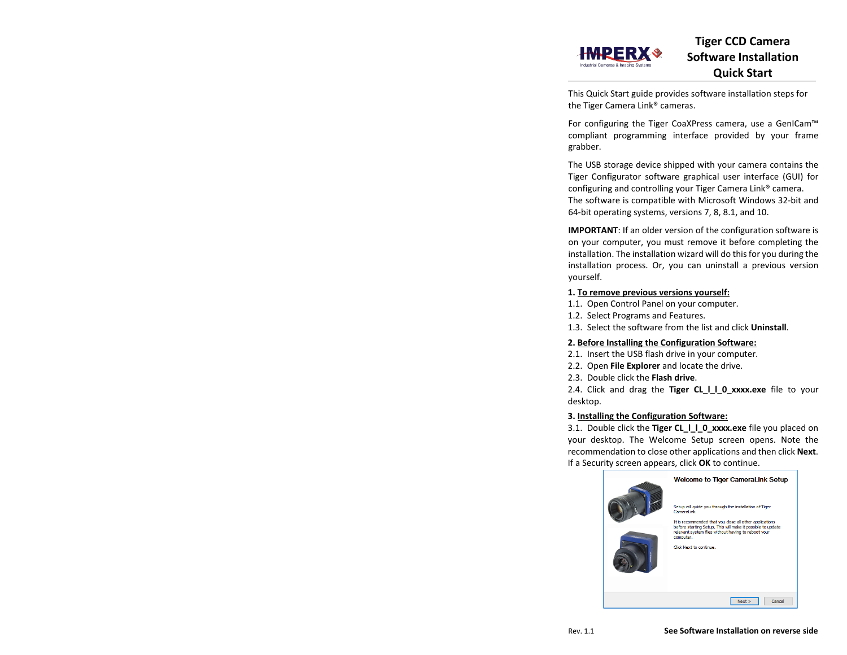This Quick Start guide provides software installation steps for the Tiger Camera Link® cameras.

For configuring the Tiger CoaXPress camera, use a GenICam™ compliant programming interface provided by your frame grabber.

The USB storage device shipped with your camera contains the Tiger Configurator software graphical user interface (GUI) for configuring and controlling your Tiger Camera Link® camera. The software is compatible with Microsoft Windows 32-bit and 64-bit operating systems, versions 7, 8, 8.1, and 10.

**IMPORTANT**: If an older version of the configuration software is on your computer, you must remove it before completing the installation. The installation wizard will do this for you during the installation process. Or, you can uninstall a previous version yourself.

# **1. To remove previous versions yourself:**

- 1.1. Open Control Panel on your computer.
- 1.2. Select Programs and Features.
- 1.3. Select the software from the list and click **Uninstall**.

# **2. Before Installing the Configuration Software:**

- 2.1. Insert the USB flash drive in your computer.
- 2.2. Open **File Explorer** and locate the drive.
- 2.3. Double click the **Flash drive**.

2.4. Click and drag the **Tiger CL I I 0 xxxx.exe** file to your desktop.

#### **3. Installing the Configuration Software:**

3.1. Double click the **Tiger CL\_l\_l\_0\_xxxx.exe** file you placed on your desktop. The Welcome Setup screen opens. Note the recommendation to close other applications and then click **Next**. If a Security screen appears, click **OK** to continue.